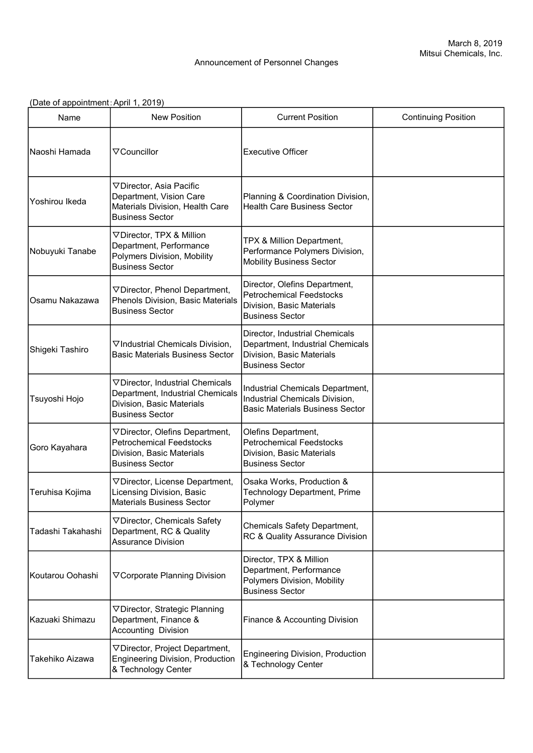## Announcement of Personnel Changes

## (Date of appointment:April 1, 2019)

| Name              | <b>New Position</b>                                                                                                         | <b>Current Position</b>                                                                                                   | <b>Continuing Position</b> |
|-------------------|-----------------------------------------------------------------------------------------------------------------------------|---------------------------------------------------------------------------------------------------------------------------|----------------------------|
| Naoshi Hamada     | $\nabla$ Councillor                                                                                                         | <b>Executive Officer</b>                                                                                                  |                            |
| Yoshirou Ikeda    | ▽ Director, Asia Pacific<br>Department, Vision Care<br>Materials Division, Health Care<br><b>Business Sector</b>            | Planning & Coordination Division,<br><b>Health Care Business Sector</b>                                                   |                            |
| Nobuyuki Tanabe   | ▽ Director, TPX & Million<br>Department, Performance<br>Polymers Division, Mobility<br><b>Business Sector</b>               | TPX & Million Department,<br>Performance Polymers Division,<br><b>Mobility Business Sector</b>                            |                            |
| Osamu Nakazawa    | ▽ Director, Phenol Department,<br>Phenols Division, Basic Materials<br><b>Business Sector</b>                               | Director, Olefins Department,<br><b>Petrochemical Feedstocks</b><br>Division, Basic Materials<br><b>Business Sector</b>   |                            |
| Shigeki Tashiro   | ▽Industrial Chemicals Division,<br><b>Basic Materials Business Sector</b>                                                   | Director, Industrial Chemicals<br>Department, Industrial Chemicals<br>Division, Basic Materials<br><b>Business Sector</b> |                            |
| Tsuyoshi Hojo     | ▽ Director, Industrial Chemicals<br>Department, Industrial Chemicals<br>Division, Basic Materials<br><b>Business Sector</b> | Industrial Chemicals Department,<br>Industrial Chemicals Division,<br><b>Basic Materials Business Sector</b>              |                            |
| Goro Kayahara     | ▽ Director, Olefins Department,<br><b>Petrochemical Feedstocks</b><br>Division, Basic Materials<br><b>Business Sector</b>   | Olefins Department,<br><b>Petrochemical Feedstocks</b><br>Division, Basic Materials<br><b>Business Sector</b>             |                            |
| Teruhisa Kojima   | ▽ Director, License Department,<br>Licensing Division, Basic<br><b>Materials Business Sector</b>                            | Osaka Works, Production &<br><b>Technology Department, Prime</b><br>Polymer                                               |                            |
| Tadashi Takahashi | ▽ Director, Chemicals Safety<br>Department, RC & Quality<br><b>Assurance Division</b>                                       | Chemicals Safety Department,<br>RC & Quality Assurance Division                                                           |                            |
| Koutarou Oohashi  | ▽ Corporate Planning Division                                                                                               | Director, TPX & Million<br>Department, Performance<br>Polymers Division, Mobility<br><b>Business Sector</b>               |                            |
| Kazuaki Shimazu   | ▽ Director, Strategic Planning<br>Department, Finance &<br><b>Accounting Division</b>                                       | Finance & Accounting Division                                                                                             |                            |
| Takehiko Aizawa   | ▽ Director, Project Department,<br><b>Engineering Division, Production</b><br>& Technology Center                           | <b>Engineering Division, Production</b><br>& Technology Center                                                            |                            |